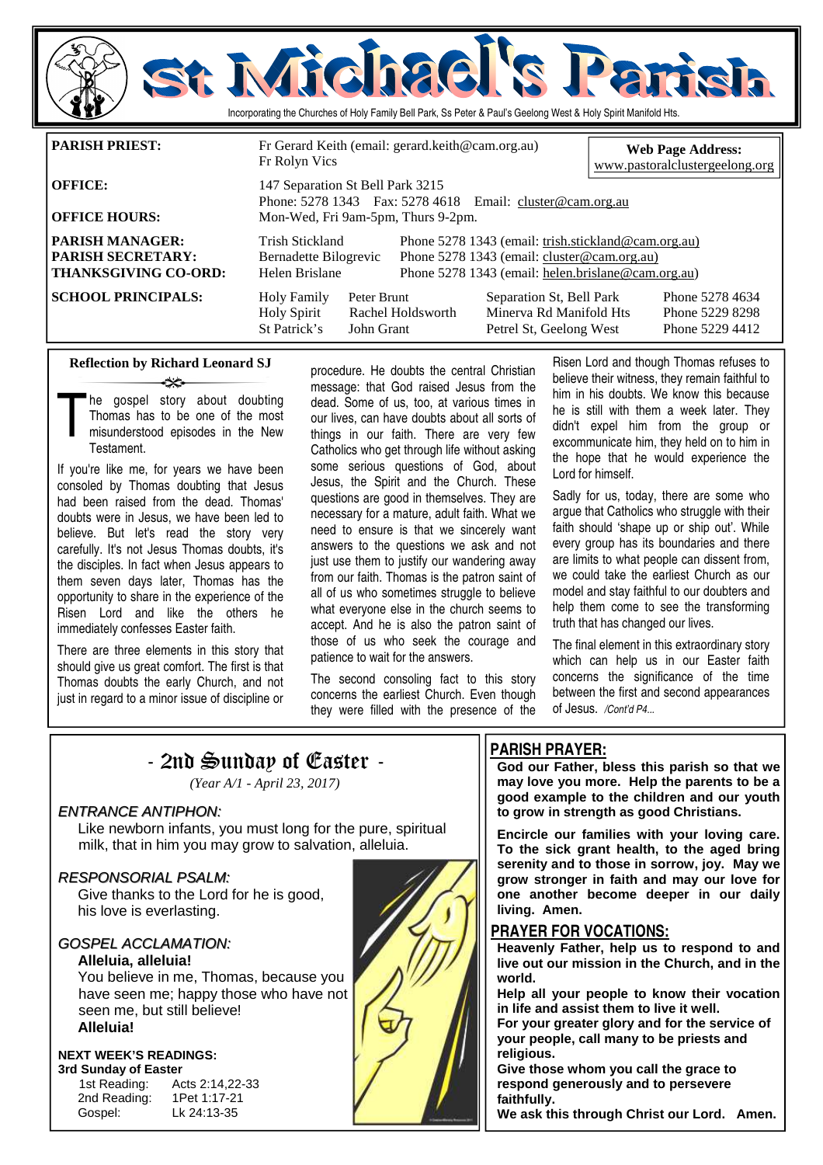

| <b>OFFICE HOURS:</b>                                                              | Mon-Wed, Fri 9am-5pm, Thurs 9-2pm.                         |                           |                                                                                                                                                          | Phone: 5278 1343  Fax: 5278 4618  Email: cluster@cam.org.au                    |  |                                                       |
|-----------------------------------------------------------------------------------|------------------------------------------------------------|---------------------------|----------------------------------------------------------------------------------------------------------------------------------------------------------|--------------------------------------------------------------------------------|--|-------------------------------------------------------|
| <b>PARISH MANAGER:</b><br><b>PARISH SECRETARY:</b><br><b>THANKSGIVING CO-ORD:</b> | Trish Stickland<br>Bernadette Bilogrevic<br>Helen Brislane |                           | Phone 5278 1343 (email: trish.stickland@cam.org.au)<br>Phone 5278 1343 (email: cluster@cam.org.au)<br>Phone 5278 1343 (email: helen.brislane@cam.org.au) |                                                                                |  |                                                       |
| <b>SCHOOL PRINCIPALS:</b>                                                         | <b>Holy Family</b><br><b>Holy Spirit</b><br>St Patrick's   | Peter Brunt<br>John Grant | Rachel Holdsworth                                                                                                                                        | Separation St, Bell Park<br>Minerva Rd Manifold Hts<br>Petrel St, Geelong West |  | Phone 5278 4634<br>Phone 5229 8298<br>Phone 5229 4412 |

### **Reflection by Richard Leonard SJ**  ينهب

The gospel story about doubting<br>Thomas has to be one of the most<br>misunderstood episodes in the New<br>Testament Thomas has to be one of the most misunderstood episodes in the New Testament.

If you're like me, for years we have been consoled by Thomas doubting that Jesus had been raised from the dead. Thomas' doubts were in Jesus, we have been led to believe. But let's read the story very carefully. It's not Jesus Thomas doubts, it's the disciples. In fact when Jesus appears to them seven days later, Thomas has the opportunity to share in the experience of the Risen Lord and like the others he immediately confesses Easter faith.

There are three elements in this story that should give us great comfort. The first is that Thomas doubts the early Church, and not just in regard to a minor issue of discipline or

procedure. He doubts the central Christian message: that God raised Jesus from the dead. Some of us, too, at various times in our lives, can have doubts about all sorts of things in our faith. There are very few Catholics who get through life without asking some serious questions of God, about Jesus, the Spirit and the Church. These questions are good in themselves. They are necessary for a mature, adult faith. What we need to ensure is that we sincerely want answers to the questions we ask and not just use them to justify our wandering away from our faith. Thomas is the patron saint of all of us who sometimes struggle to believe what everyone else in the church seems to accept. And he is also the patron saint of those of us who seek the courage and patience to wait for the answers.

The second consoling fact to this story concerns the earliest Church. Even though they were filled with the presence of the Risen Lord and though Thomas refuses to believe their witness, they remain faithful to him in his doubts. We know this because he is still with them a week later. They didn't expel him from the group or excommunicate him, they held on to him in the hope that he would experience the Lord for himself.

Sadly for us, today, there are some who argue that Catholics who struggle with their faith should 'shape up or ship out'. While every group has its boundaries and there are limits to what people can dissent from, we could take the earliest Church as our model and stay faithful to our doubters and help them come to see the transforming truth that has changed our lives.

The final element in this extraordinary story which can help us in our Easter faith concerns the significance of the time between the first and second appearances of Jesus. */Cont'd P4...* 

## - 2nd Sunday of Easter -

*(Year A/1 - April 23, 2017)* 

### ENTRANCE ANTIPHON:

 Like newborn infants, you must long for the pure, spiritual milk, that in him you may grow to salvation, alleluia.

### RESPONSORIAL PSALM:

 Give thanks to the Lord for he is good, his love is everlasting.

### GOSPEL ACCLAMATION:

### **Alleluia, alleluia!**

You believe in me, Thomas, because you have seen me; happy those who have not seen me, but still believe! **Alleluia!** 

### **NEXT WEEK'S READINGS:**

**3rd Sunday of Easter**  1st Reading: Acts 2:14,22-33 2nd Reading: 1Pet 1:17-21

Gospel: Lk 24:13-35



### **PARISH PRAYER:**

**God our Father, bless this parish so that we may love you more. Help the parents to be a good example to the children and our youth to grow in strength as good Christians.** 

**Encircle our families with your loving care. To the sick grant health, to the aged bring serenity and to those in sorrow, joy. May we grow stronger in faith and may our love for one another become deeper in our daily living. Amen.** 

### **PRAYER FOR VOCATIONS:**

**Heavenly Father, help us to respond to and live out our mission in the Church, and in the world.** 

**Help all your people to know their vocation in life and assist them to live it well.** 

**For your greater glory and for the service of your people, call many to be priests and religious.** 

**Give those whom you call the grace to respond generously and to persevere faithfully.** 

**We ask this through Christ our Lord. Amen.**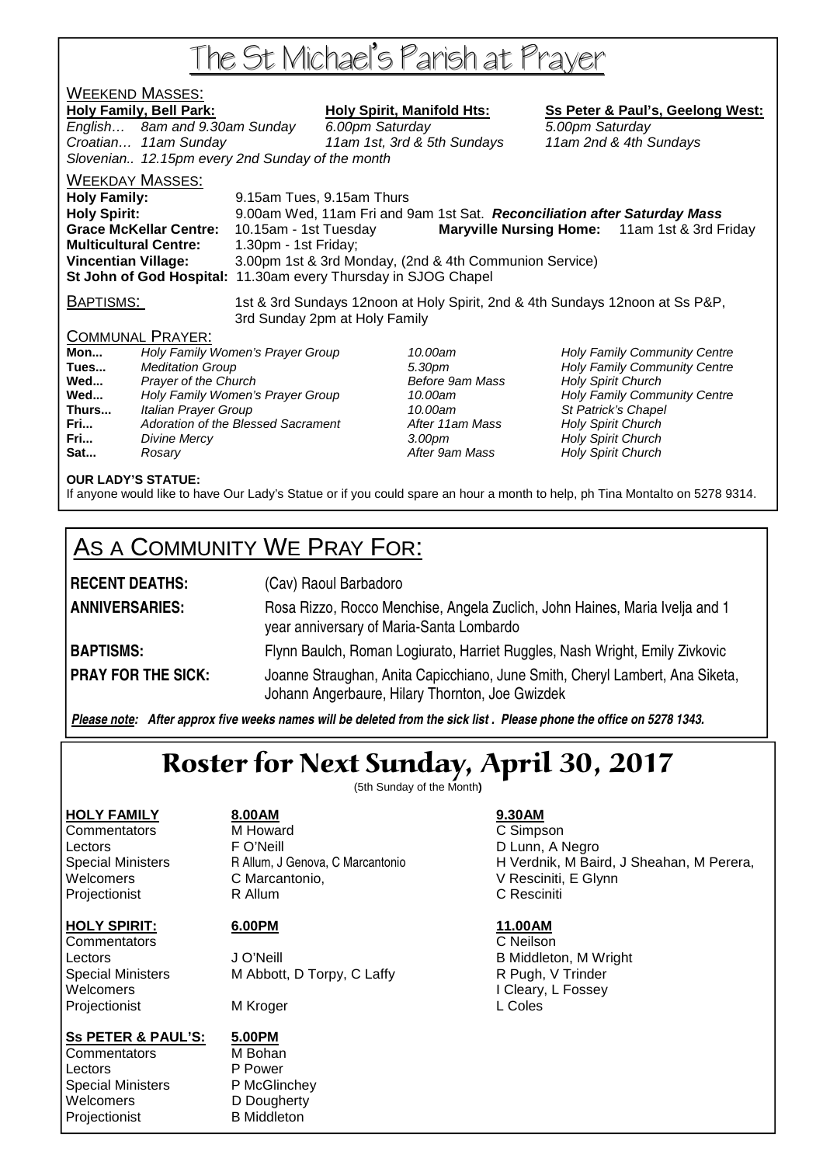# The St Michael's Parish at Prayer

## WEEKEND MASSES:

Holy Family, Bell Park: Holy Spirit, Manifold Hts: Ss Peter & Paul's, Geelong West: English… 8am and 9.30am Sunday 6.00pm Saturday 5.00pm Saturday Croatian… 11am Sunday 11am 1st, 3rd & 5th Sundays 11am 2nd & 4th Sundays Slovenian.. 12.15pm every 2nd Sunday of the month WEEKDAY MASSES: **Holy Family:** 9.15am Tues, 9.15am Thurs **Holy Spirit:** 9.00am Wed, 11am Fri and 9am 1st Sat. **Reconciliation after Saturday Mass** 

**Grace McKellar Centre:** 10.15am - 1st Tuesday **Maryville Nursing Home:** 11am 1st & 3rd Friday **Multicultural Centre:** 1.30pm - 1st Friday; **Vincentian Village:** 3.00pm 1st & 3rd Monday, (2nd & 4th Communion Service) **St John of God Hospital:** 11.30am every Thursday in SJOG Chapel

BAPTISMS: 1st & 3rd Sundays 12noon at Holy Spirit, 2nd & 4th Sundays 12noon at Ss P&P, 3rd Sunday 2pm at Holy Family

### COMMUNAL PRAYER:

**Mon...** Holy Family Women's Prayer Group 10.00am Holy Family Community Centre **Tues Integrals According to the Superior Community Centre** 5.30pm **Holy Family Community Centre Wed...** Prayer of the Church **Prayer of the Church Before 9am Mass** Holy Spirit Church Before 9am Mass and Holy Family Community Centre Contre 10.00am **Med...** Holy Family Community Centre **Wed... Holy Family Women's Prayer Group** 10.00am **Thurs...** Italian Prayer Group 10.00am St Patrick's Chapel **Fri...** Adoration of the Blessed Sacrament **After 11am Mass** Holy Spirit Church **Fri... Divine Mercy Constant Church 3.00pm** Holy Spirit Church Holy Spirit Church **Sat... Rosary Rosary Reserves After 9am Mass Holy Spirit Church** 

### **OUR LADY'S STATUE:**

If anyone would like to have Our Lady's Statue or if you could spare an hour a month to help, ph Tina Montalto on 5278 9314.

# AS A COMMUNITY WE PRAY FOR:

**RECENT DEATHS:** (Cav) Raoul Barbadoro **ANNIVERSARIES:** Rosa Rizzo, Rocco Menchise, Angela Zuclich, John Haines, Maria Ivelja and 1 year anniversary of Maria-Santa Lombardo **BAPTISMS:** Flynn Baulch, Roman Logiurato, Harriet Ruggles, Nash Wright, Emily Zivkovic **PRAY FOR THE SICK:** Joanne Straughan, Anita Capicchiano, June Smith, Cheryl Lambert, Ana Siketa, Johann Angerbaure, Hilary Thornton, Joe Gwizdek

*Please note: After approx five weeks names will be deleted from the sick list . Please phone the office on 5278 1343.*

# Roster for Next Sunday, April 30, 2017

(5th Sunday of the Month**)** 

Projectionist **R** Allum **C Resciniti** 

**HOLY FAMILY 8.00AM 9.30AM Commentators** M Howard **C Simpson** Lectors **FO'Neill** FO'Neill **D** Lunn, A Negro Welcomers C Marcantonio, V Resciniti, E Glynn

Commentators C Neilson

# **HOLY SPIRIT:** 6.00PM 11.00AM

Lectors **Contract Contract Contract Contract Contract Contract Contract Contract Contract Contract Contract Contract Contract Contract Contract Contract Contract Contract Contract Contract Contract Contract Contract Contra** Special Ministers M Abbott, D Torpy, C Laffy **R** Pugh, V Trinder Welcomers I Cleary, L Fossey

### **Ss PETER & PAUL'S: 5.00PM**

Commentators M Bohan Lectors P Power Special Ministers P McGlinchey Welcomers **D** D Dougherty Projectionist B Middleton

Projectionist MKroger NAM MEDIA NAME L Coles

Special Ministers **R** Allum, J Genova, C Marcantonio **H** Verdnik, M Baird, J Sheahan, M Perera,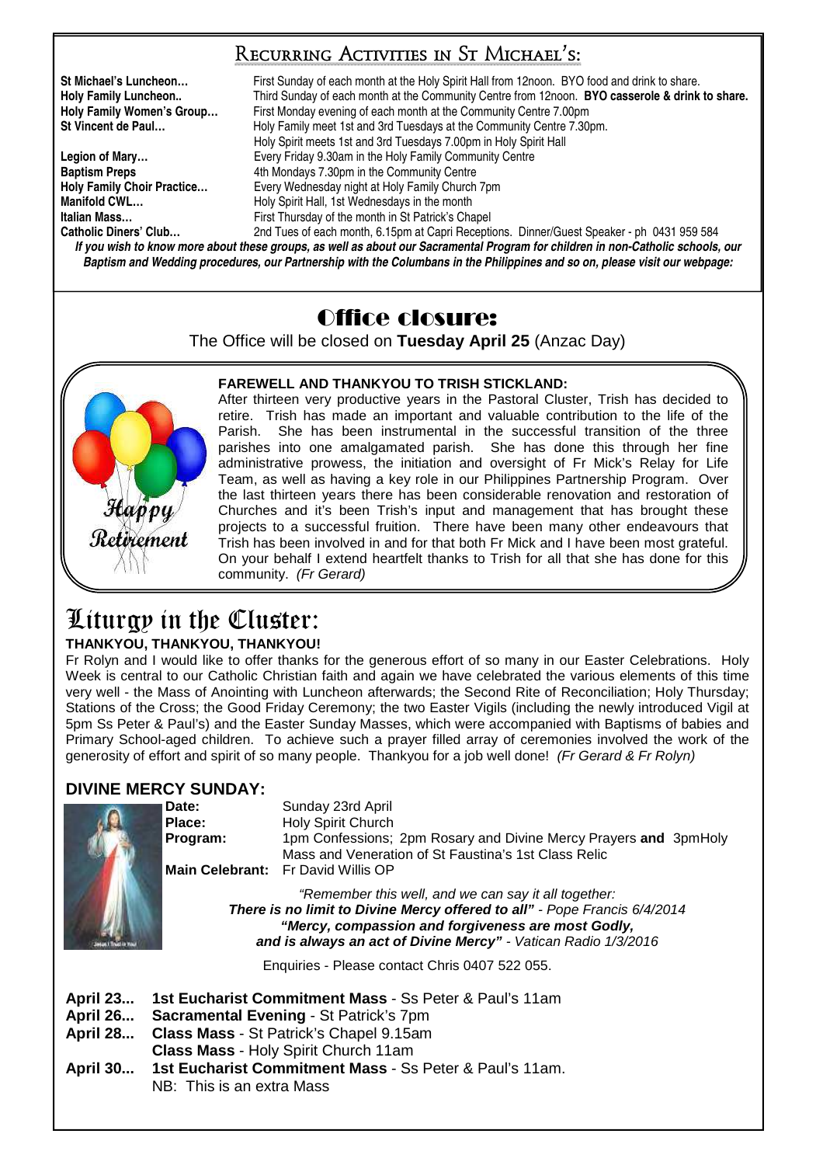## Recurring Activities in St Michael's:

**St Michael's Luncheon…** First Sunday of each month at the Holy Spirit Hall from 12noon. BYO food and drink to share. **Holy Family Luncheon..** Third Sunday of each month at the Community Centre from 12noon. **BYO casserole & drink to share. Holy Family Women's Group...** First Monday evening of each month at the Community Centre 7.00pm<br>St Vincent de Paul... **Holy Family meet 1st and 3rd Tuesdays at the Community Centre 7.30 St Vincent de Paul…** Holy Family meet 1st and 3rd Tuesdays at the Community Centre 7.30pm. Holy Spirit meets 1st and 3rd Tuesdays 7.00pm in Holy Spirit Hall Legion of Mary... **Exery Friday 9.30am in the Holy Family Community Centre Baptism Preps** <br>**Holy Family Choir Practice... 1998 Exery Wednesday night at Holy Family Church**<br>
Every Wednesday night at Holy Family Church **Holy Family Choir Practice…** Every Wednesday night at Holy Family Church 7pm **Manifold CWL... Holy Spirit Hall, 1st Wednesdays in the month Italian Mass…** First Thursday of the month in St Patrick's Chapel 2nd Tues of each month, 6.15pm at Capri Receptions. Dinner/Guest Speaker - ph 0431 959 584

*If you wish to know more about these groups, as well as about our Sacramental Program for children in non-Catholic schools, our Baptism and Wedding procedures, our Partnership with the Columbans in the Philippines and so on, please visit our webpage:* 

## Office closure:

The Office will be closed on **Tuesday April 25** (Anzac Day)



## **FAREWELL AND THANKYOU TO TRISH STICKLAND:**

After thirteen very productive years in the Pastoral Cluster, Trish has decided to retire. Trish has made an important and valuable contribution to the life of the Parish. She has been instrumental in the successful transition of the three parishes into one amalgamated parish. She has done this through her fine administrative prowess, the initiation and oversight of Fr Mick's Relay for Life Team, as well as having a key role in our Philippines Partnership Program. Over the last thirteen years there has been considerable renovation and restoration of Churches and it's been Trish's input and management that has brought these projects to a successful fruition. There have been many other endeavours that Trish has been involved in and for that both Fr Mick and I have been most grateful. On your behalf I extend heartfelt thanks to Trish for all that she has done for this community. (Fr Gerard)

# Liturgy in the Cluster:

## **THANKYOU, THANKYOU, THANKYOU!**

Fr Rolyn and I would like to offer thanks for the generous effort of so many in our Easter Celebrations. Holy Week is central to our Catholic Christian faith and again we have celebrated the various elements of this time very well - the Mass of Anointing with Luncheon afterwards; the Second Rite of Reconciliation; Holy Thursday; Stations of the Cross; the Good Friday Ceremony; the two Easter Vigils (including the newly introduced Vigil at 5pm Ss Peter & Paul's) and the Easter Sunday Masses, which were accompanied with Baptisms of babies and Primary School-aged children. To achieve such a prayer filled array of ceremonies involved the work of the generosity of effort and spirit of so many people. Thankyou for a job well done! (Fr Gerard & Fr Rolyn)

## **DIVINE MERCY SUNDAY:**

|                                    | Date:<br>Place:<br>Program:                                                                                                                                                                                                                               | Sunday 23rd April<br><b>Holy Spirit Church</b><br>1pm Confessions; 2pm Rosary and Divine Mercy Prayers and 3pmHoly<br>Mass and Veneration of St Faustina's 1st Class Relic<br>Main Celebrant: Fr David Willis OP |  |  |  |  |  |
|------------------------------------|-----------------------------------------------------------------------------------------------------------------------------------------------------------------------------------------------------------------------------------------------------------|------------------------------------------------------------------------------------------------------------------------------------------------------------------------------------------------------------------|--|--|--|--|--|
|                                    | "Remember this well, and we can say it all together:<br>There is no limit to Divine Mercy offered to all" - Pope Francis 6/4/2014<br>"Mercy, compassion and forgiveness are most Godly,<br>and is always an act of Divine Mercy" - Vatican Radio 1/3/2016 |                                                                                                                                                                                                                  |  |  |  |  |  |
|                                    |                                                                                                                                                                                                                                                           | Enquiries - Please contact Chris 0407 522 055.                                                                                                                                                                   |  |  |  |  |  |
| <b>April 23</b><br><b>April 26</b> |                                                                                                                                                                                                                                                           | 1st Eucharist Commitment Mass - Ss Peter & Paul's 11am<br>Sacramental Evening - St Patrick's 7pm                                                                                                                 |  |  |  |  |  |

- **April 28... Class Mass** St Patrick's Chapel 9.15am
- **Class Mass** Holy Spirit Church 11am
- **April 30... 1st Eucharist Commitment Mass** Ss Peter & Paul's 11am. NB: This is an extra Mass